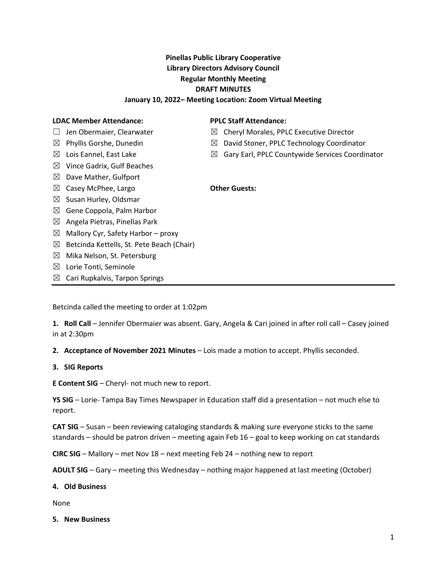# Pinellas Public Library Cooperative Library Directors Advisory Council Regular Monthly Meeting DRAFT MINUTES

### January 10, 2022– Meeting Location: Zoom Virtual Meeting

#### LDAC Member Attendance:

#### □ Jen Obermaier, Clearwater

- $\boxtimes$  Phyllis Gorshe, Dunedin
- $\boxtimes$  Lois Eannel, East Lake
- 
- $\boxtimes$  Vince Gadrix, Gulf Beaches
- $\boxtimes$  Dave Mather, Gulfport
- ⊠ Casey McPhee, Largo **CHACK CORAGING COMMENT** Other Guests:
- $\boxtimes$  Susan Hurley, Oldsmar
- $\boxtimes$  Gene Coppola, Palm Harbor
- $\boxtimes$  Angela Pietras, Pinellas Park
- $\boxtimes$  Mallory Cyr, Safety Harbor proxy
- $\boxtimes$  Betcinda Kettells, St. Pete Beach (Chair)
- $\boxtimes$  Mika Nelson, St. Petersburg
- $\boxtimes$  Lorie Tonti, Seminole
- $\boxtimes$  Cari Rupkalvis, Tarpon Springs

Betcinda called the meeting to order at 1:02pm

1. Roll Call – Jennifer Obermaier was absent. Gary, Angela & Cari joined in after roll call – Casey joined in at 2:30pm

2. Acceptance of November 2021 Minutes – Lois made a motion to accept. Phyllis seconded.

#### 3. SIG Reports

E Content SIG – Cheryl- not much new to report.

YS SIG – Lorie- Tampa Bay Times Newspaper in Education staff did a presentation – not much else to report.

CAT SIG – Susan – been reviewing cataloging standards & making sure everyone sticks to the same standards – should be patron driven – meeting again Feb 16 – goal to keep working on cat standards

CIRC SIG – Mallory – met Nov 18 – next meeting Feb 24 – nothing new to report

ADULT SIG – Gary – meeting this Wednesday – nothing major happened at last meeting (October)

#### 4. Old Business

None

5. New Business

### PPLC Staff Attendance:

- $\boxtimes$  Cheryl Morales, PPLC Executive Director
- ☒ David Stoner, PPLC Technology Coordinator
- $\boxtimes$  Gary Earl, PPLC Countywide Services Coordinator
-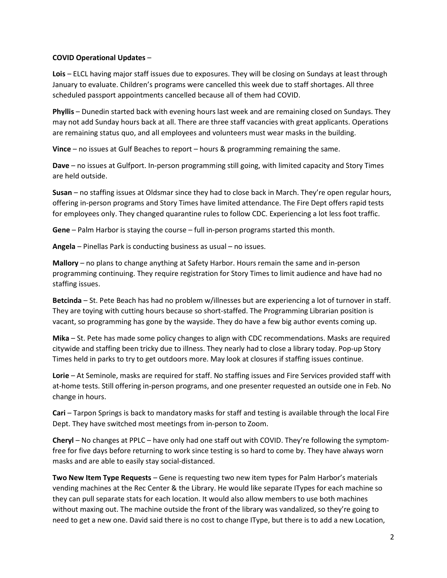### COVID Operational Updates –

Lois – ELCL having major staff issues due to exposures. They will be closing on Sundays at least through January to evaluate. Children's programs were cancelled this week due to staff shortages. All three scheduled passport appointments cancelled because all of them had COVID.

Phyllis – Dunedin started back with evening hours last week and are remaining closed on Sundays. They may not add Sunday hours back at all. There are three staff vacancies with great applicants. Operations are remaining status quo, and all employees and volunteers must wear masks in the building.

Vince – no issues at Gulf Beaches to report – hours & programming remaining the same.

Dave – no issues at Gulfport. In-person programming still going, with limited capacity and Story Times are held outside.

Susan – no staffing issues at Oldsmar since they had to close back in March. They're open regular hours, offering in-person programs and Story Times have limited attendance. The Fire Dept offers rapid tests for employees only. They changed quarantine rules to follow CDC. Experiencing a lot less foot traffic.

Gene – Palm Harbor is staying the course – full in-person programs started this month.

Angela – Pinellas Park is conducting business as usual – no issues.

Mallory – no plans to change anything at Safety Harbor. Hours remain the same and in-person programming continuing. They require registration for Story Times to limit audience and have had no staffing issues.

Betcinda – St. Pete Beach has had no problem w/illnesses but are experiencing a lot of turnover in staff. They are toying with cutting hours because so short-staffed. The Programming Librarian position is vacant, so programming has gone by the wayside. They do have a few big author events coming up.

Mika – St. Pete has made some policy changes to align with CDC recommendations. Masks are required citywide and staffing been tricky due to illness. They nearly had to close a library today. Pop-up Story Times held in parks to try to get outdoors more. May look at closures if staffing issues continue.

Lorie – At Seminole, masks are required for staff. No staffing issues and Fire Services provided staff with at-home tests. Still offering in-person programs, and one presenter requested an outside one in Feb. No change in hours.

Cari – Tarpon Springs is back to mandatory masks for staff and testing is available through the local Fire Dept. They have switched most meetings from in-person to Zoom.

Cheryl – No changes at PPLC – have only had one staff out with COVID. They're following the symptomfree for five days before returning to work since testing is so hard to come by. They have always worn masks and are able to easily stay social-distanced.

Two New Item Type Requests – Gene is requesting two new item types for Palm Harbor's materials vending machines at the Rec Center & the Library. He would like separate ITypes for each machine so they can pull separate stats for each location. It would also allow members to use both machines without maxing out. The machine outside the front of the library was vandalized, so they're going to need to get a new one. David said there is no cost to change IType, but there is to add a new Location,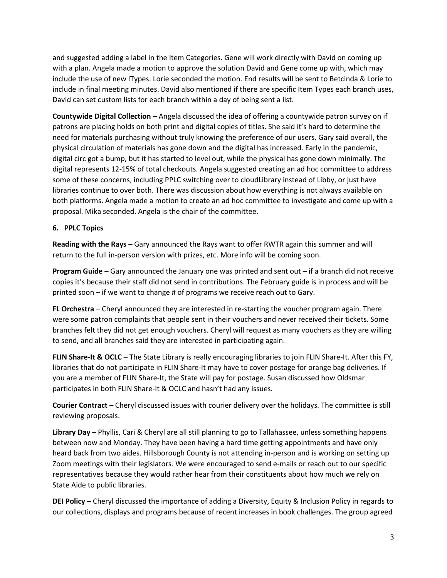and suggested adding a label in the Item Categories. Gene will work directly with David on coming up with a plan. Angela made a motion to approve the solution David and Gene come up with, which may include the use of new ITypes. Lorie seconded the motion. End results will be sent to Betcinda & Lorie to include in final meeting minutes. David also mentioned if there are specific Item Types each branch uses, David can set custom lists for each branch within a day of being sent a list.

Countywide Digital Collection – Angela discussed the idea of offering a countywide patron survey on if patrons are placing holds on both print and digital copies of titles. She said it's hard to determine the need for materials purchasing without truly knowing the preference of our users. Gary said overall, the physical circulation of materials has gone down and the digital has increased. Early in the pandemic, digital circ got a bump, but it has started to level out, while the physical has gone down minimally. The digital represents 12-15% of total checkouts. Angela suggested creating an ad hoc committee to address some of these concerns, including PPLC switching over to cloudLibrary instead of Libby, or just have libraries continue to over both. There was discussion about how everything is not always available on both platforms. Angela made a motion to create an ad hoc committee to investigate and come up with a proposal. Mika seconded. Angela is the chair of the committee.

# 6. PPLC Topics

Reading with the Rays – Gary announced the Rays want to offer RWTR again this summer and will return to the full in-person version with prizes, etc. More info will be coming soon.

**Program Guide** – Gary announced the January one was printed and sent out – if a branch did not receive copies it's because their staff did not send in contributions. The February guide is in process and will be printed soon – if we want to change # of programs we receive reach out to Gary.

FL Orchestra – Cheryl announced they are interested in re-starting the voucher program again. There were some patron complaints that people sent in their vouchers and never received their tickets. Some branches felt they did not get enough vouchers. Cheryl will request as many vouchers as they are willing to send, and all branches said they are interested in participating again.

FLIN Share-It & OCLC - The State Library is really encouraging libraries to join FLIN Share-It. After this FY, libraries that do not participate in FLIN Share-It may have to cover postage for orange bag deliveries. If you are a member of FLIN Share-It, the State will pay for postage. Susan discussed how Oldsmar participates in both FLIN Share-It & OCLC and hasn't had any issues.

Courier Contract – Cheryl discussed issues with courier delivery over the holidays. The committee is still reviewing proposals.

Library Day – Phyllis, Cari & Cheryl are all still planning to go to Tallahassee, unless something happens between now and Monday. They have been having a hard time getting appointments and have only heard back from two aides. Hillsborough County is not attending in-person and is working on setting up Zoom meetings with their legislators. We were encouraged to send e-mails or reach out to our specific representatives because they would rather hear from their constituents about how much we rely on State Aide to public libraries.

DEI Policy – Cheryl discussed the importance of adding a Diversity, Equity & Inclusion Policy in regards to our collections, displays and programs because of recent increases in book challenges. The group agreed